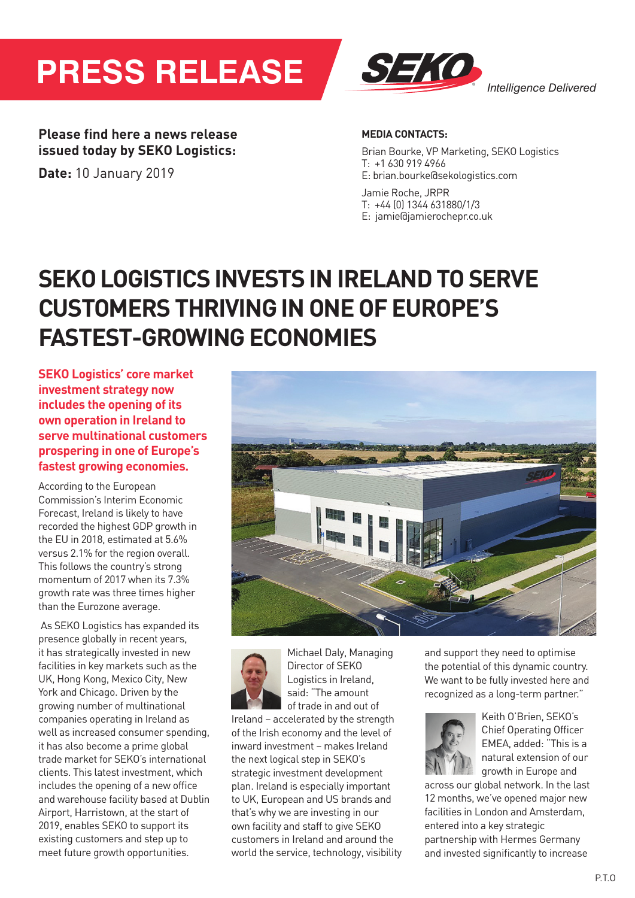# **PRESS RELEASE** *®* **PRESSRELEASE***®*



**Please find here a news release issued today by SEKO Logistics:** 

**Date:** 10 January 2019

### **MEDIA CONTACTS:**

Brian Bourke, VP Marketing, SEKO Logistics T: +1 630 919 4966 E: brian.bourke@sekologistics.com

Jamie Roche, JRPR T: +44 (0) 1344 631880/1/3 E: jamie@jamierochepr.co.uk

## **SEKO LOGISTICS INVESTS IN IRELAND TO SERVE CUSTOMERS THRIVING IN ONE OF EUROPE'S FASTEST-GROWING ECONOMIES**

**SEKO Logistics' core market investment strategy now investment strategy now**<br>includes the opening of its **own operation in Ireland to investing in a new** fl**agship**  serve multinational customers **prospering in one of Europe's** *Heathersee comes* **of British brands globally by SECO revenues** are set to the set of  $\boldsymbol{\theta}$ **SEKO Logistics' core market<br>investment strategy now<br>includes the opening of its<br>own operation in Ireland to<br>serve multinational customers<br>prospering in one of Europe's<br>fastest growing economies.**<br>According to the European

According to the European **£100 million in the UK in 2018 for**  Commission's Interim Economic **the** fi**rst time.**  Forecast, Ireland is likely to have recedust, included is the ty to have<br>recorded the highest GDP growth in the EU in 2018, estimated at  $5.6\%$ versus 2.1% for the region overall. This follows the country's strong momentum of 2017 when its 7.3% growth rate was three times higher grommate mee an ee annee mg.<br>than the Eurozone average. recorded the Highest ODF growth man the Eurozone average. recorded the highest GDP growth in<br>the EU in 2018, estimated at 5.6%<br>versus 2.1% for the region overall.<br>This follows the country's strong<br>momentum of 2017 when its 7.3%<br>growth rate was three times higher

As SEKO Logistics has expanded its presence globally in recent years, it has strategically invested in new facilities in key markets such as the UK, Hong Kong, Mexico City, New York and Chicago. Driven by the form and omalger britten by the growing number of multinational growing number of muttinational<br>companies operating in Ireland as well as increased consumer spending, it has also become a prime global trade market for SEKO's international clients. This latest investment, which includes the opening of a new office and warehouse facility based at Dublin Airport, Harristown, at the start of 2019, enables SEKO to support its existing customers and step up to existing castomers and step up to<br>meet future growth opportunities. companies operating in Ireland as rowth opportunities. board the Eurozone average.<br>As SEKO Logistics has expanded its<br>presence globally in recent years,





**companies to access the lucrative Michael Daly, Managing cross-border expansion of SEKO**  $\begin{bmatrix} 1 & 1 \\ 1 & 1 \end{bmatrix}$  Logistics in Ireland, said: "The amount  $\frac{1}{\sqrt{2}}$  of trade in and out of

**EXECTED FOUR ACCEPT AND SOLUTE:**<br>Ireland – accelerated by the strength of the Irish economy and the level of inward investment - makes Ireland the next logical step in SEKO's strategic investment development plan. Ireland is especially important to UK, European and US brands and that's why we are investing in our own facility and staff to give SEKO sum asing and stan to give our to customers in iretand and around the<br>world the service, technology, visibility iretand – acceterated by the strengti wortd the service, technology, visit

and support they need to optimise the potential of this dynamic country. We want to be fully invested here and recognized as a long-term partner." largest a sekog logistic in a SEK



**Keith O'Brien, SEKO's** Chief Operating Officer  $E = E = E$  EMEA, added: "This is a  $\mathbb{R}^{\mathbb{N}}$  atural extension of our growth in Europe and EMEA, added: This is a

across our global network. In the last 12 months, we've opened major new facilities in London and Amsterdam, entered into a key strategic partnership with Hermes Germany partici sing with nermes ocrimally<br>and invested significantly to increase across our global network. In the last and invested